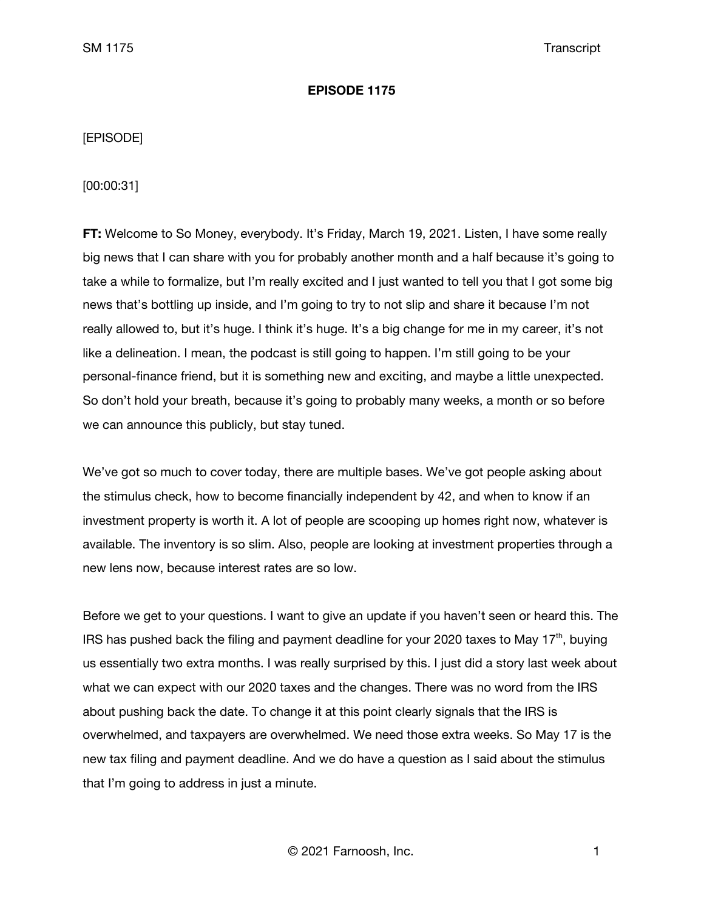### **EPISODE 1175**

# [EPISODE]

[00:00:31]

**FT:** Welcome to So Money, everybody. It's Friday, March 19, 2021. Listen, I have some really big news that I can share with you for probably another month and a half because it's going to take a while to formalize, but I'm really excited and I just wanted to tell you that I got some big news that's bottling up inside, and I'm going to try to not slip and share it because I'm not really allowed to, but it's huge. I think it's huge. It's a big change for me in my career, it's not like a delineation. I mean, the podcast is still going to happen. I'm still going to be your personal-finance friend, but it is something new and exciting, and maybe a little unexpected. So don't hold your breath, because it's going to probably many weeks, a month or so before we can announce this publicly, but stay tuned.

We've got so much to cover today, there are multiple bases. We've got people asking about the stimulus check, how to become financially independent by 42, and when to know if an investment property is worth it. A lot of people are scooping up homes right now, whatever is available. The inventory is so slim. Also, people are looking at investment properties through a new lens now, because interest rates are so low.

Before we get to your questions. I want to give an update if you haven't seen or heard this. The IRS has pushed back the filing and payment deadline for your 2020 taxes to May  $17<sup>th</sup>$ , buying us essentially two extra months. I was really surprised by this. I just did a story last week about what we can expect with our 2020 taxes and the changes. There was no word from the IRS about pushing back the date. To change it at this point clearly signals that the IRS is overwhelmed, and taxpayers are overwhelmed. We need those extra weeks. So May 17 is the new tax filing and payment deadline. And we do have a question as I said about the stimulus that I'm going to address in just a minute.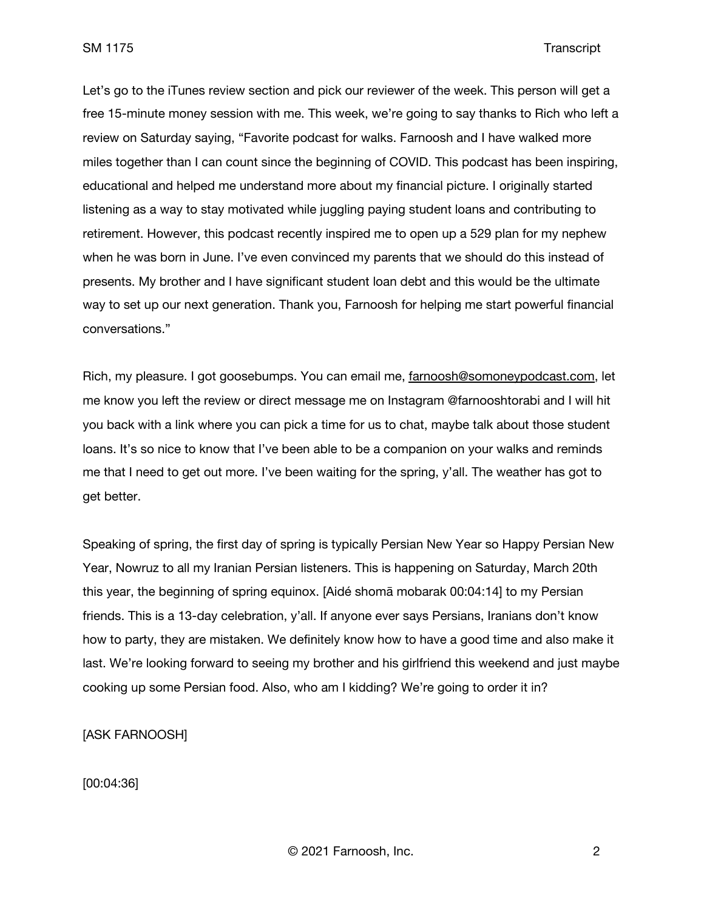Let's go to the iTunes review section and pick our reviewer of the week. This person will get a free 15-minute money session with me. This week, we're going to say thanks to Rich who left a review on Saturday saying, "Favorite podcast for walks. Farnoosh and I have walked more miles together than I can count since the beginning of COVID. This podcast has been inspiring, educational and helped me understand more about my financial picture. I originally started listening as a way to stay motivated while juggling paying student loans and contributing to retirement. However, this podcast recently inspired me to open up a 529 plan for my nephew when he was born in June. I've even convinced my parents that we should do this instead of presents. My brother and I have significant student loan debt and this would be the ultimate way to set up our next generation. Thank you, Farnoosh for helping me start powerful financial conversations."

Rich, my pleasure. I got goosebumps. You can email me, [farnoosh@somoneypodcast.com,](mailto:farnoosh@somoneypodcast.com) let me know you left the review or direct message me on Instagram @farnooshtorabi and I will hit you back with a link where you can pick a time for us to chat, maybe talk about those student loans. It's so nice to know that I've been able to be a companion on your walks and reminds me that I need to get out more. I've been waiting for the spring, y'all. The weather has got to get better.

Speaking of spring, the first day of spring is typically Persian New Year so Happy Persian New Year, Nowruz to all my Iranian Persian listeners. This is happening on Saturday, March 20th this year, the beginning of spring equinox. [Aidé shomā mobarak 00:04:14] to my Persian friends. This is a 13-day celebration, y'all. If anyone ever says Persians, Iranians don't know how to party, they are mistaken. We definitely know how to have a good time and also make it last. We're looking forward to seeing my brother and his girlfriend this weekend and just maybe cooking up some Persian food. Also, who am I kidding? We're going to order it in?

[ASK FARNOOSH]

[00:04:36]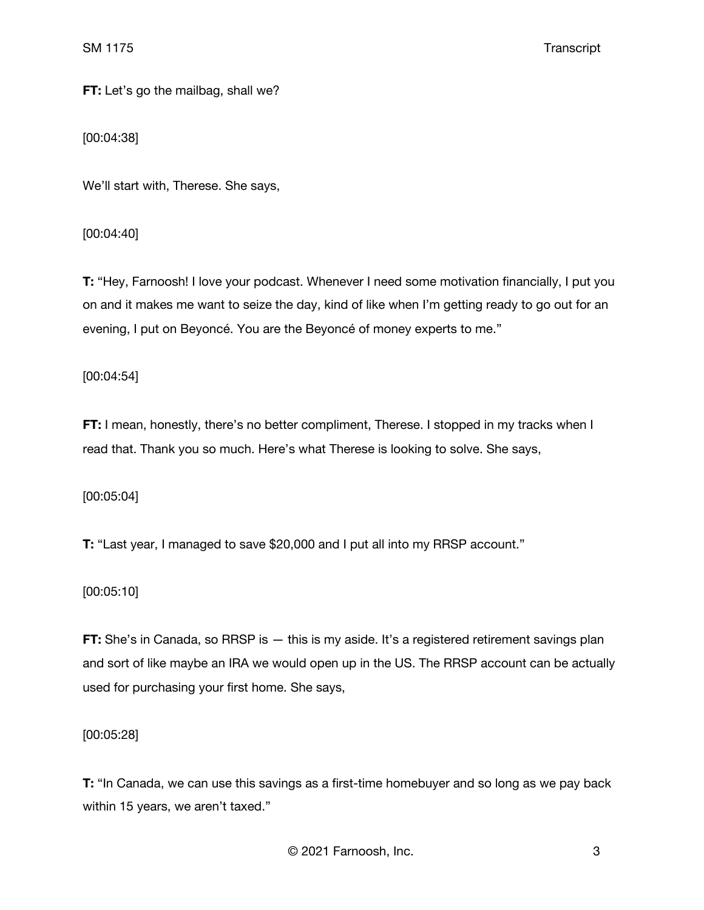**FT:** Let's go the mailbag, shall we?

[00:04:38]

We'll start with, Therese. She says,

[00:04:40]

**T:** "Hey, Farnoosh! I love your podcast. Whenever I need some motivation financially, I put you on and it makes me want to seize the day, kind of like when I'm getting ready to go out for an evening, I put on Beyoncé. You are the Beyoncé of money experts to me."

[00:04:54]

**FT:** I mean, honestly, there's no better compliment, Therese. I stopped in my tracks when I read that. Thank you so much. Here's what Therese is looking to solve. She says,

[00:05:04]

**T:** "Last year, I managed to save \$20,000 and I put all into my RRSP account."

[00:05:10]

**FT:** She's in Canada, so RRSP is  $-$  this is my aside. It's a registered retirement savings plan and sort of like maybe an IRA we would open up in the US. The RRSP account can be actually used for purchasing your first home. She says,

[00:05:28]

**T:** "In Canada, we can use this savings as a first-time homebuyer and so long as we pay back within 15 years, we aren't taxed."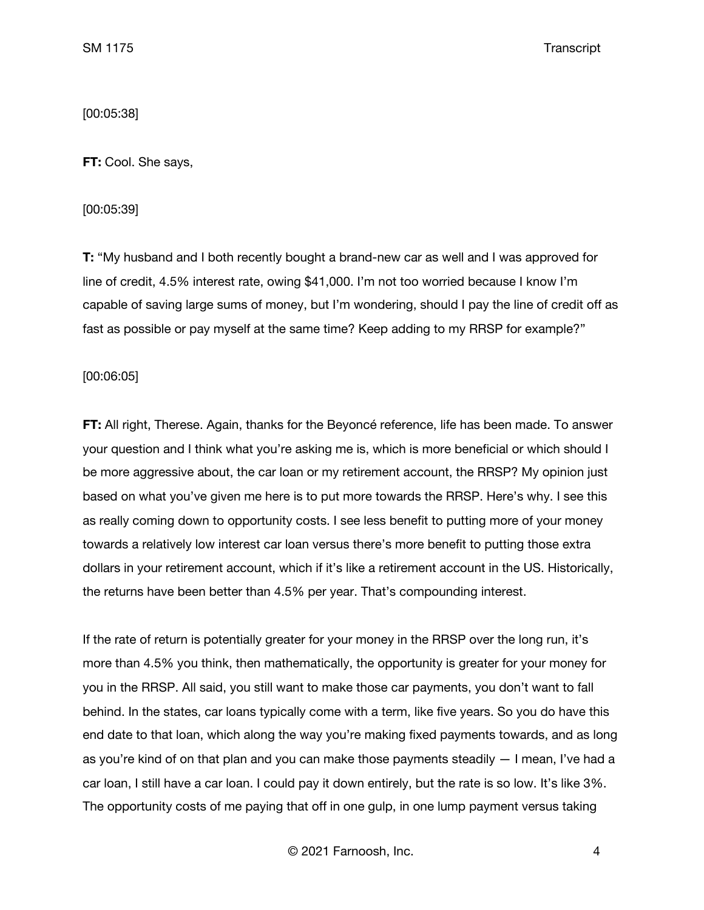[00:05:38]

**FT:** Cool. She says,

[00:05:39]

**T:** "My husband and I both recently bought a brand-new car as well and I was approved for line of credit, 4.5% interest rate, owing \$41,000. I'm not too worried because I know I'm capable of saving large sums of money, but I'm wondering, should I pay the line of credit off as fast as possible or pay myself at the same time? Keep adding to my RRSP for example?"

[00:06:05]

**FT:** All right, Therese. Again, thanks for the Beyoncé reference, life has been made. To answer your question and I think what you're asking me is, which is more beneficial or which should I be more aggressive about, the car loan or my retirement account, the RRSP? My opinion just based on what you've given me here is to put more towards the RRSP. Here's why. I see this as really coming down to opportunity costs. I see less benefit to putting more of your money towards a relatively low interest car loan versus there's more benefit to putting those extra dollars in your retirement account, which if it's like a retirement account in the US. Historically, the returns have been better than 4.5% per year. That's compounding interest.

If the rate of return is potentially greater for your money in the RRSP over the long run, it's more than 4.5% you think, then mathematically, the opportunity is greater for your money for you in the RRSP. All said, you still want to make those car payments, you don't want to fall behind. In the states, car loans typically come with a term, like five years. So you do have this end date to that loan, which along the way you're making fixed payments towards, and as long as you're kind of on that plan and you can make those payments steadily — I mean, I've had a car loan, I still have a car loan. I could pay it down entirely, but the rate is so low. It's like 3%. The opportunity costs of me paying that off in one gulp, in one lump payment versus taking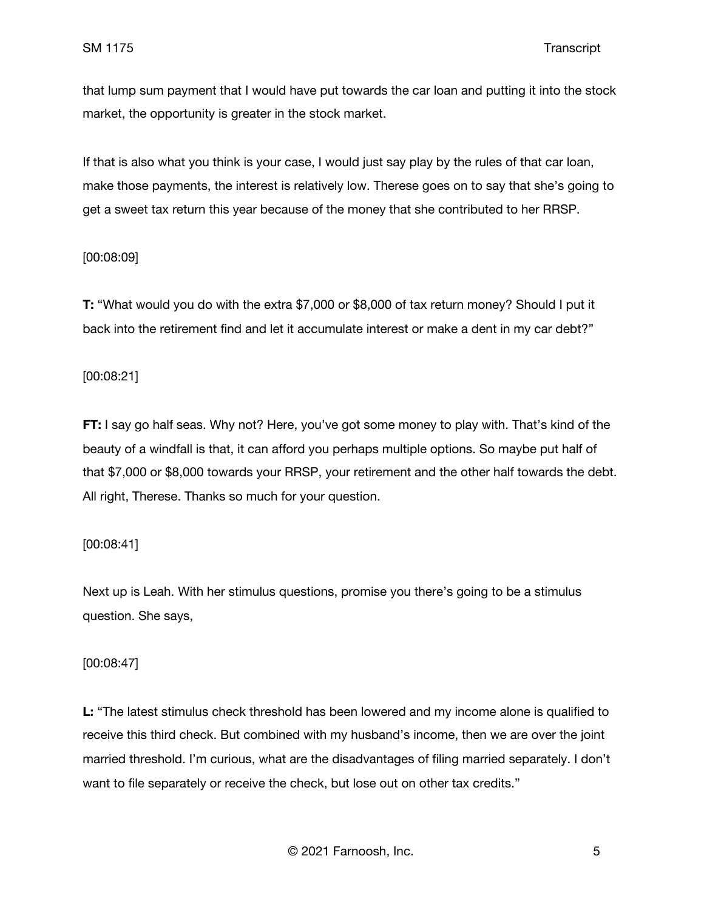that lump sum payment that I would have put towards the car loan and putting it into the stock market, the opportunity is greater in the stock market.

If that is also what you think is your case, I would just say play by the rules of that car loan, make those payments, the interest is relatively low. Therese goes on to say that she's going to get a sweet tax return this year because of the money that she contributed to her RRSP.

## [00:08:09]

**T:** "What would you do with the extra \$7,000 or \$8,000 of tax return money? Should I put it back into the retirement find and let it accumulate interest or make a dent in my car debt?"

### [00:08:21]

**FT:** I say go half seas. Why not? Here, you've got some money to play with. That's kind of the beauty of a windfall is that, it can afford you perhaps multiple options. So maybe put half of that \$7,000 or \$8,000 towards your RRSP, your retirement and the other half towards the debt. All right, Therese. Thanks so much for your question.

## [00:08:41]

Next up is Leah. With her stimulus questions, promise you there's going to be a stimulus question. She says,

## [00:08:47]

**L:** "The latest stimulus check threshold has been lowered and my income alone is qualified to receive this third check. But combined with my husband's income, then we are over the joint married threshold. I'm curious, what are the disadvantages of filing married separately. I don't want to file separately or receive the check, but lose out on other tax credits."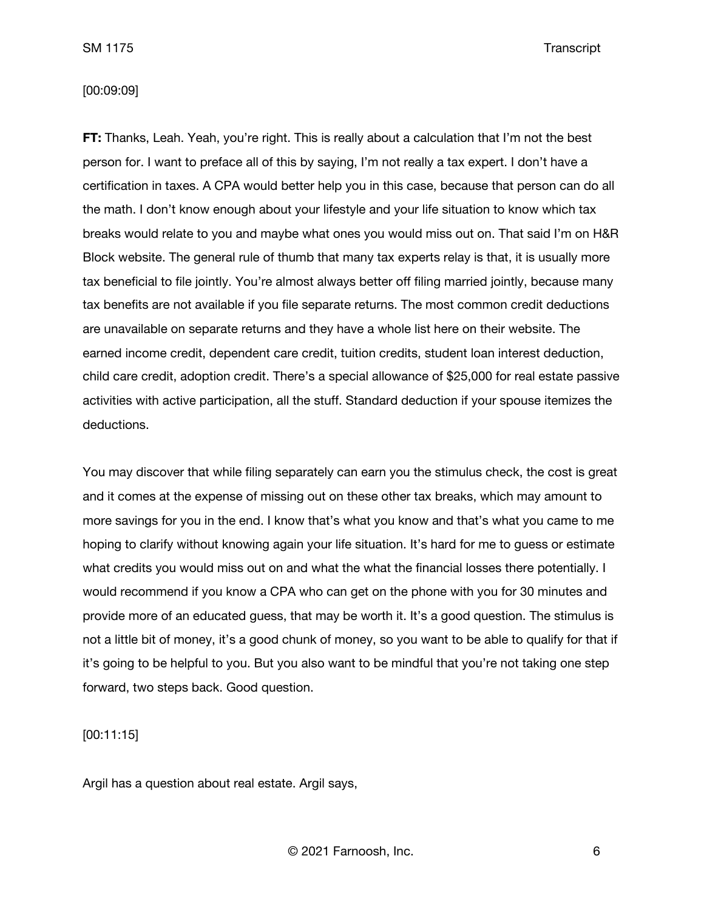#### [00:09:09]

**FT:** Thanks, Leah. Yeah, you're right. This is really about a calculation that I'm not the best person for. I want to preface all of this by saying, I'm not really a tax expert. I don't have a certification in taxes. A CPA would better help you in this case, because that person can do all the math. I don't know enough about your lifestyle and your life situation to know which tax breaks would relate to you and maybe what ones you would miss out on. That said I'm on H&R Block website. The general rule of thumb that many tax experts relay is that, it is usually more tax beneficial to file jointly. You're almost always better off filing married jointly, because many tax benefits are not available if you file separate returns. The most common credit deductions are unavailable on separate returns and they have a whole list here on their website. The earned income credit, dependent care credit, tuition credits, student loan interest deduction, child care credit, adoption credit. There's a special allowance of \$25,000 for real estate passive activities with active participation, all the stuff. Standard deduction if your spouse itemizes the deductions.

You may discover that while filing separately can earn you the stimulus check, the cost is great and it comes at the expense of missing out on these other tax breaks, which may amount to more savings for you in the end. I know that's what you know and that's what you came to me hoping to clarify without knowing again your life situation. It's hard for me to guess or estimate what credits you would miss out on and what the what the financial losses there potentially. I would recommend if you know a CPA who can get on the phone with you for 30 minutes and provide more of an educated guess, that may be worth it. It's a good question. The stimulus is not a little bit of money, it's a good chunk of money, so you want to be able to qualify for that if it's going to be helpful to you. But you also want to be mindful that you're not taking one step forward, two steps back. Good question.

[00:11:15]

Argil has a question about real estate. Argil says,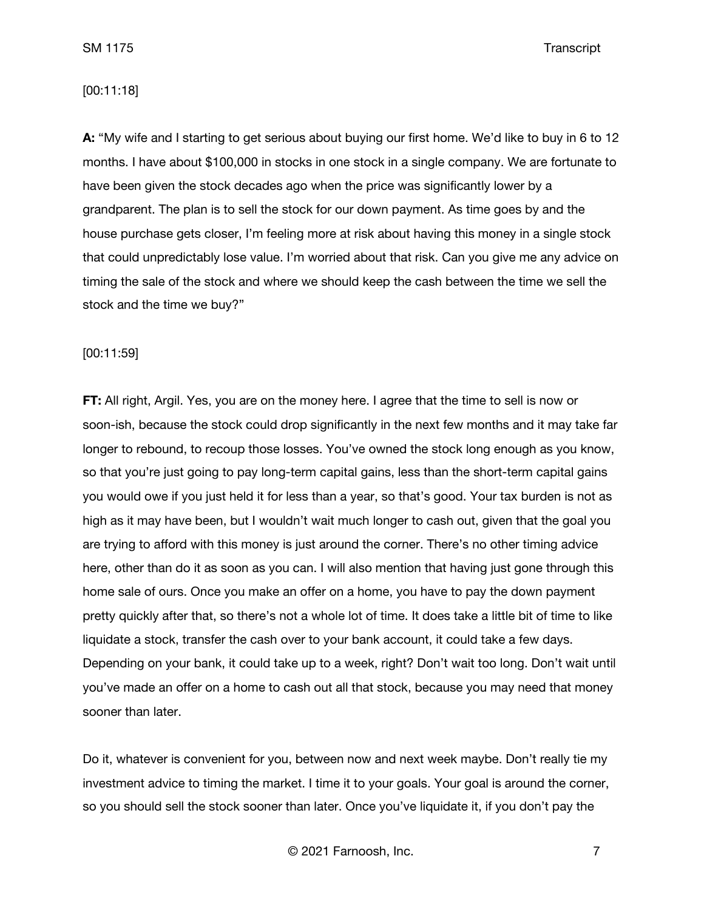### [00:11:18]

**A:** "My wife and I starting to get serious about buying our first home. We'd like to buy in 6 to 12 months. I have about \$100,000 in stocks in one stock in a single company. We are fortunate to have been given the stock decades ago when the price was significantly lower by a grandparent. The plan is to sell the stock for our down payment. As time goes by and the house purchase gets closer, I'm feeling more at risk about having this money in a single stock that could unpredictably lose value. I'm worried about that risk. Can you give me any advice on timing the sale of the stock and where we should keep the cash between the time we sell the stock and the time we buy?"

### [00:11:59]

**FT:** All right, Argil. Yes, you are on the money here. I agree that the time to sell is now or soon-ish, because the stock could drop significantly in the next few months and it may take far longer to rebound, to recoup those losses. You've owned the stock long enough as you know, so that you're just going to pay long-term capital gains, less than the short-term capital gains you would owe if you just held it for less than a year, so that's good. Your tax burden is not as high as it may have been, but I wouldn't wait much longer to cash out, given that the goal you are trying to afford with this money is just around the corner. There's no other timing advice here, other than do it as soon as you can. I will also mention that having just gone through this home sale of ours. Once you make an offer on a home, you have to pay the down payment pretty quickly after that, so there's not a whole lot of time. It does take a little bit of time to like liquidate a stock, transfer the cash over to your bank account, it could take a few days. Depending on your bank, it could take up to a week, right? Don't wait too long. Don't wait until you've made an offer on a home to cash out all that stock, because you may need that money sooner than later.

Do it, whatever is convenient for you, between now and next week maybe. Don't really tie my investment advice to timing the market. I time it to your goals. Your goal is around the corner, so you should sell the stock sooner than later. Once you've liquidate it, if you don't pay the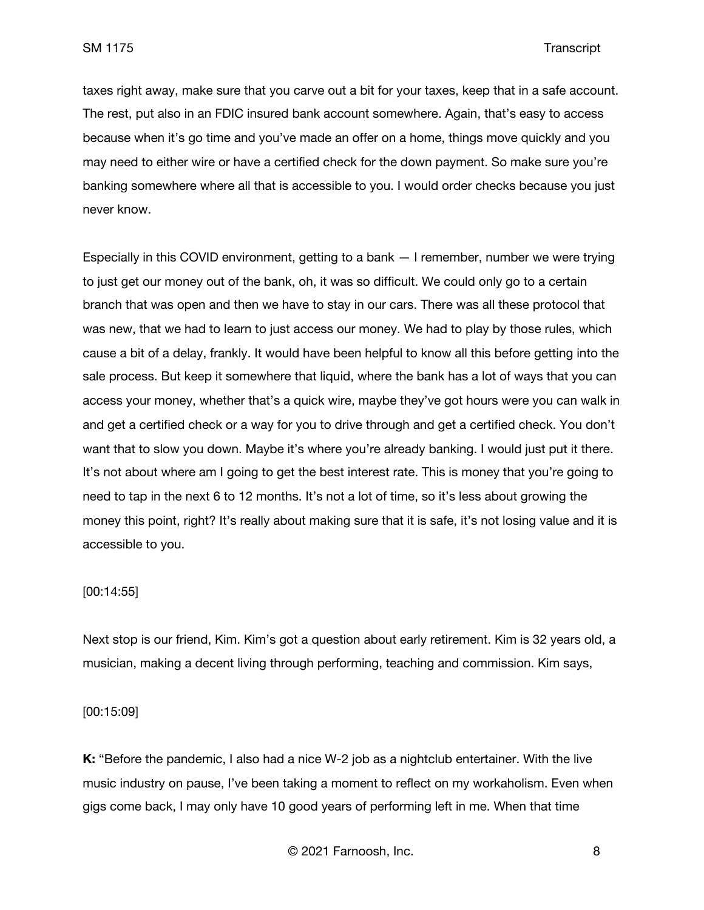taxes right away, make sure that you carve out a bit for your taxes, keep that in a safe account. The rest, put also in an FDIC insured bank account somewhere. Again, that's easy to access because when it's go time and you've made an offer on a home, things move quickly and you may need to either wire or have a certified check for the down payment. So make sure you're banking somewhere where all that is accessible to you. I would order checks because you just never know.

Especially in this COVID environment, getting to a bank — I remember, number we were trying to just get our money out of the bank, oh, it was so difficult. We could only go to a certain branch that was open and then we have to stay in our cars. There was all these protocol that was new, that we had to learn to just access our money. We had to play by those rules, which cause a bit of a delay, frankly. It would have been helpful to know all this before getting into the sale process. But keep it somewhere that liquid, where the bank has a lot of ways that you can access your money, whether that's a quick wire, maybe they've got hours were you can walk in and get a certified check or a way for you to drive through and get a certified check. You don't want that to slow you down. Maybe it's where you're already banking. I would just put it there. It's not about where am I going to get the best interest rate. This is money that you're going to need to tap in the next 6 to 12 months. It's not a lot of time, so it's less about growing the money this point, right? It's really about making sure that it is safe, it's not losing value and it is accessible to you.

### [00:14:55]

Next stop is our friend, Kim. Kim's got a question about early retirement. Kim is 32 years old, a musician, making a decent living through performing, teaching and commission. Kim says,

#### [00:15:09]

**K:** "Before the pandemic, I also had a nice W-2 job as a nightclub entertainer. With the live music industry on pause, I've been taking a moment to reflect on my workaholism. Even when gigs come back, I may only have 10 good years of performing left in me. When that time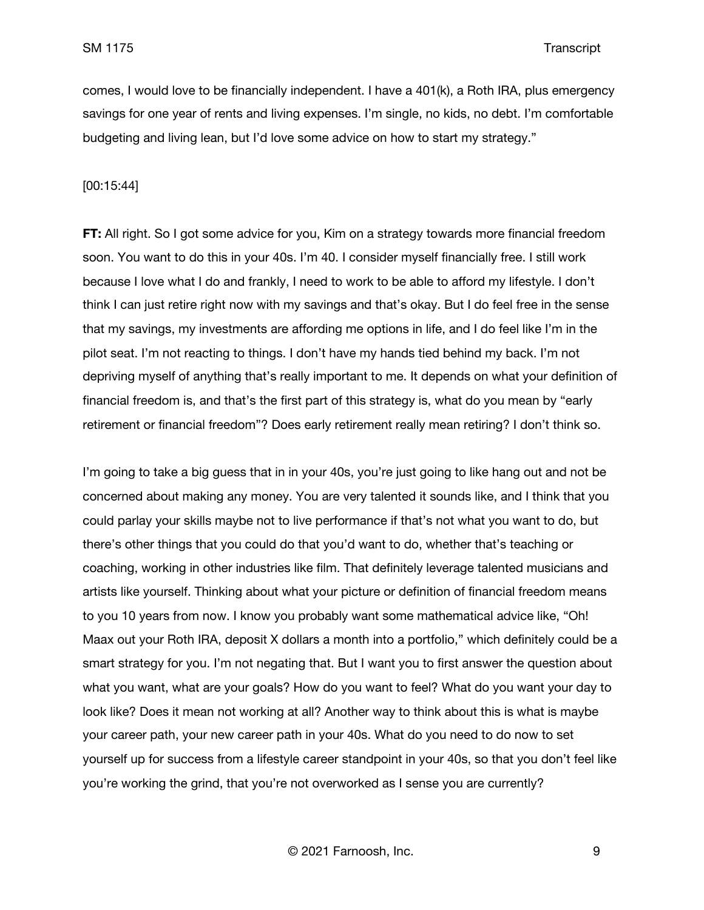comes, I would love to be financially independent. I have a 401(k), a Roth IRA, plus emergency savings for one year of rents and living expenses. I'm single, no kids, no debt. I'm comfortable budgeting and living lean, but I'd love some advice on how to start my strategy."

#### [00:15:44]

**FT:** All right. So I got some advice for you, Kim on a strategy towards more financial freedom soon. You want to do this in your 40s. I'm 40. I consider myself financially free. I still work because I love what I do and frankly, I need to work to be able to afford my lifestyle. I don't think I can just retire right now with my savings and that's okay. But I do feel free in the sense that my savings, my investments are affording me options in life, and I do feel like I'm in the pilot seat. I'm not reacting to things. I don't have my hands tied behind my back. I'm not depriving myself of anything that's really important to me. It depends on what your definition of financial freedom is, and that's the first part of this strategy is, what do you mean by "early retirement or financial freedom"? Does early retirement really mean retiring? I don't think so.

I'm going to take a big guess that in in your 40s, you're just going to like hang out and not be concerned about making any money. You are very talented it sounds like, and I think that you could parlay your skills maybe not to live performance if that's not what you want to do, but there's other things that you could do that you'd want to do, whether that's teaching or coaching, working in other industries like film. That definitely leverage talented musicians and artists like yourself. Thinking about what your picture or definition of financial freedom means to you 10 years from now. I know you probably want some mathematical advice like, "Oh! Maax out your Roth IRA, deposit X dollars a month into a portfolio," which definitely could be a smart strategy for you. I'm not negating that. But I want you to first answer the question about what you want, what are your goals? How do you want to feel? What do you want your day to look like? Does it mean not working at all? Another way to think about this is what is maybe your career path, your new career path in your 40s. What do you need to do now to set yourself up for success from a lifestyle career standpoint in your 40s, so that you don't feel like you're working the grind, that you're not overworked as I sense you are currently?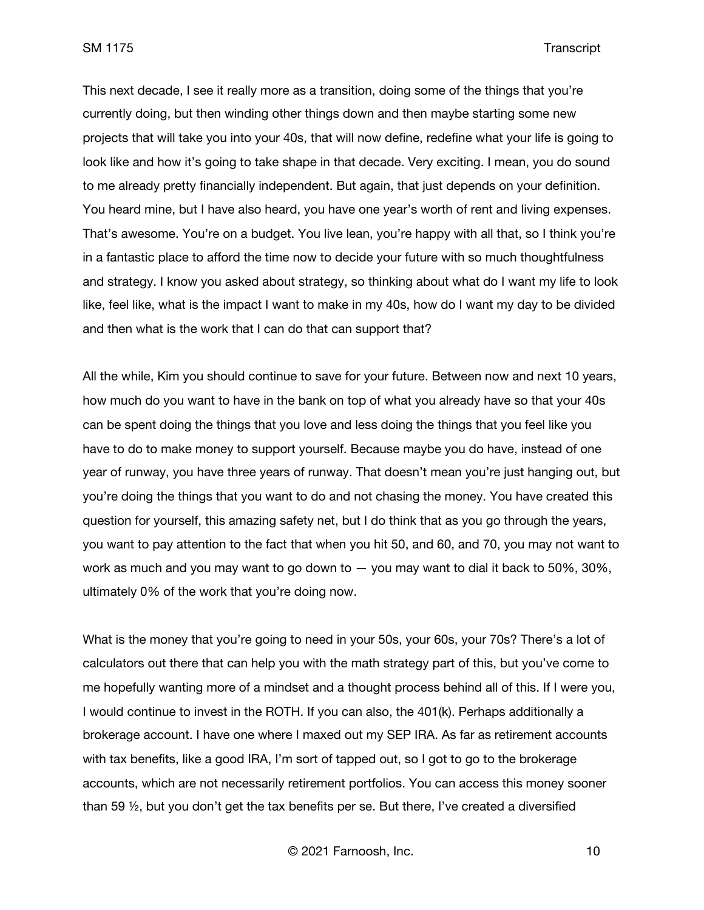This next decade, I see it really more as a transition, doing some of the things that you're currently doing, but then winding other things down and then maybe starting some new projects that will take you into your 40s, that will now define, redefine what your life is going to look like and how it's going to take shape in that decade. Very exciting. I mean, you do sound to me already pretty financially independent. But again, that just depends on your definition. You heard mine, but I have also heard, you have one year's worth of rent and living expenses. That's awesome. You're on a budget. You live lean, you're happy with all that, so I think you're in a fantastic place to afford the time now to decide your future with so much thoughtfulness and strategy. I know you asked about strategy, so thinking about what do I want my life to look like, feel like, what is the impact I want to make in my 40s, how do I want my day to be divided and then what is the work that I can do that can support that?

All the while, Kim you should continue to save for your future. Between now and next 10 years, how much do you want to have in the bank on top of what you already have so that your 40s can be spent doing the things that you love and less doing the things that you feel like you have to do to make money to support yourself. Because maybe you do have, instead of one year of runway, you have three years of runway. That doesn't mean you're just hanging out, but you're doing the things that you want to do and not chasing the money. You have created this question for yourself, this amazing safety net, but I do think that as you go through the years, you want to pay attention to the fact that when you hit 50, and 60, and 70, you may not want to work as much and you may want to go down to — you may want to dial it back to 50%, 30%, ultimately 0% of the work that you're doing now.

What is the money that you're going to need in your 50s, your 60s, your 70s? There's a lot of calculators out there that can help you with the math strategy part of this, but you've come to me hopefully wanting more of a mindset and a thought process behind all of this. If I were you, I would continue to invest in the ROTH. If you can also, the 401(k). Perhaps additionally a brokerage account. I have one where I maxed out my SEP IRA. As far as retirement accounts with tax benefits, like a good IRA, I'm sort of tapped out, so I got to go to the brokerage accounts, which are not necessarily retirement portfolios. You can access this money sooner than 59 ½, but you don't get the tax benefits per se. But there, I've created a diversified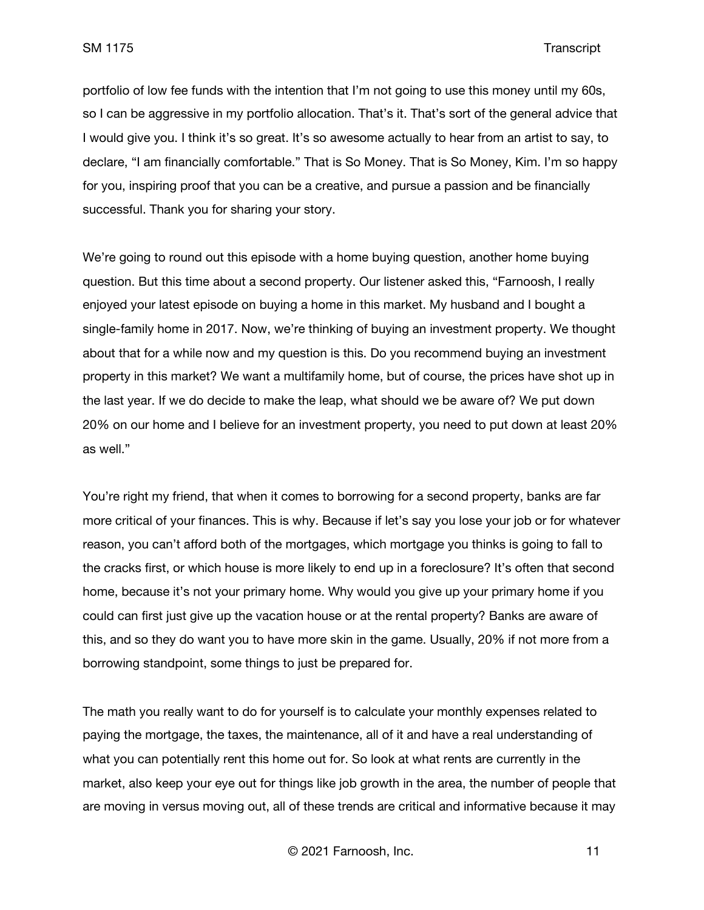portfolio of low fee funds with the intention that I'm not going to use this money until my 60s, so I can be aggressive in my portfolio allocation. That's it. That's sort of the general advice that I would give you. I think it's so great. It's so awesome actually to hear from an artist to say, to declare, "I am financially comfortable." That is So Money. That is So Money, Kim. I'm so happy for you, inspiring proof that you can be a creative, and pursue a passion and be financially successful. Thank you for sharing your story.

We're going to round out this episode with a home buying question, another home buying question. But this time about a second property. Our listener asked this, "Farnoosh, I really enjoyed your latest episode on buying a home in this market. My husband and I bought a single-family home in 2017. Now, we're thinking of buying an investment property. We thought about that for a while now and my question is this. Do you recommend buying an investment property in this market? We want a multifamily home, but of course, the prices have shot up in the last year. If we do decide to make the leap, what should we be aware of? We put down 20% on our home and I believe for an investment property, you need to put down at least 20% as well."

You're right my friend, that when it comes to borrowing for a second property, banks are far more critical of your finances. This is why. Because if let's say you lose your job or for whatever reason, you can't afford both of the mortgages, which mortgage you thinks is going to fall to the cracks first, or which house is more likely to end up in a foreclosure? It's often that second home, because it's not your primary home. Why would you give up your primary home if you could can first just give up the vacation house or at the rental property? Banks are aware of this, and so they do want you to have more skin in the game. Usually, 20% if not more from a borrowing standpoint, some things to just be prepared for.

The math you really want to do for yourself is to calculate your monthly expenses related to paying the mortgage, the taxes, the maintenance, all of it and have a real understanding of what you can potentially rent this home out for. So look at what rents are currently in the market, also keep your eye out for things like job growth in the area, the number of people that are moving in versus moving out, all of these trends are critical and informative because it may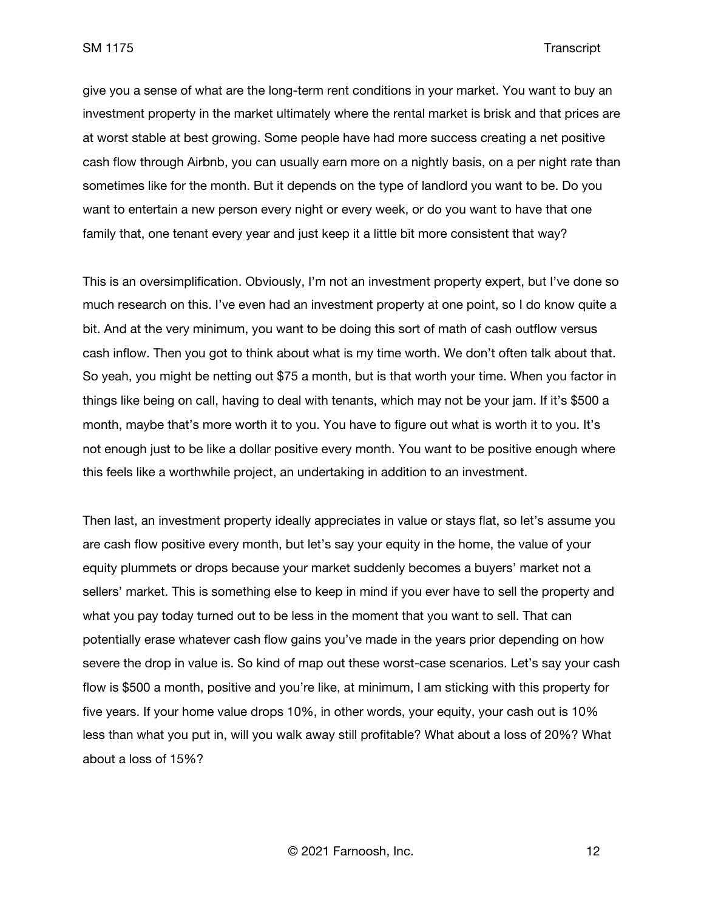give you a sense of what are the long-term rent conditions in your market. You want to buy an investment property in the market ultimately where the rental market is brisk and that prices are at worst stable at best growing. Some people have had more success creating a net positive cash flow through Airbnb, you can usually earn more on a nightly basis, on a per night rate than sometimes like for the month. But it depends on the type of landlord you want to be. Do you want to entertain a new person every night or every week, or do you want to have that one family that, one tenant every year and just keep it a little bit more consistent that way?

This is an oversimplification. Obviously, I'm not an investment property expert, but I've done so much research on this. I've even had an investment property at one point, so I do know quite a bit. And at the very minimum, you want to be doing this sort of math of cash outflow versus cash inflow. Then you got to think about what is my time worth. We don't often talk about that. So yeah, you might be netting out \$75 a month, but is that worth your time. When you factor in things like being on call, having to deal with tenants, which may not be your jam. If it's \$500 a month, maybe that's more worth it to you. You have to figure out what is worth it to you. It's not enough just to be like a dollar positive every month. You want to be positive enough where this feels like a worthwhile project, an undertaking in addition to an investment.

Then last, an investment property ideally appreciates in value or stays flat, so let's assume you are cash flow positive every month, but let's say your equity in the home, the value of your equity plummets or drops because your market suddenly becomes a buyers' market not a sellers' market. This is something else to keep in mind if you ever have to sell the property and what you pay today turned out to be less in the moment that you want to sell. That can potentially erase whatever cash flow gains you've made in the years prior depending on how severe the drop in value is. So kind of map out these worst-case scenarios. Let's say your cash flow is \$500 a month, positive and you're like, at minimum, I am sticking with this property for five years. If your home value drops 10%, in other words, your equity, your cash out is 10% less than what you put in, will you walk away still profitable? What about a loss of 20%? What about a loss of 15%?